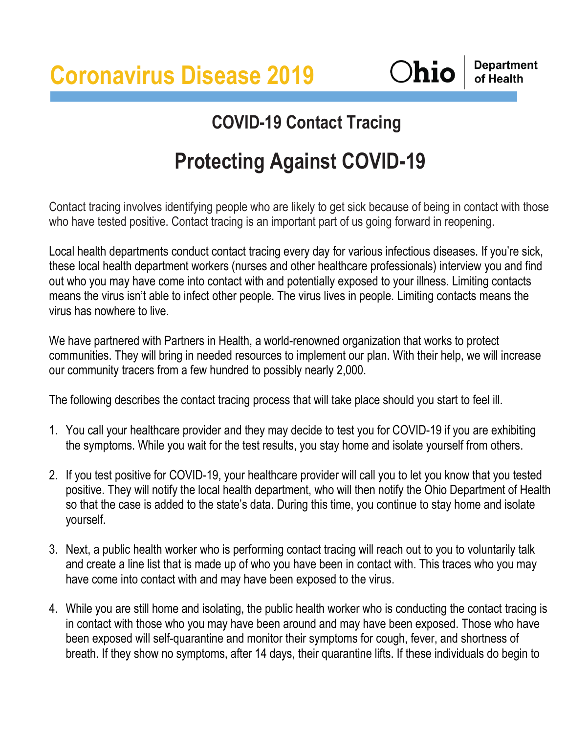**Coronavirus Disease 2019**

**Ohio** 

**Department** of Health

## **COVID-19 Contact Tracing**

## **Protecting Against COVID-19**

Contact tracing involves identifying people who are likely to get sick because of being in contact with those who have tested positive. Contact tracing is an important part of us going forward in reopening.

Local health departments conduct contact tracing every day for various infectious diseases. If you're sick, these local health department workers (nurses and other healthcare professionals) interview you and find out who you may have come into contact with and potentially exposed to your illness. Limiting contacts means the virus isn't able to infect other people. The virus lives in people. Limiting contacts means the virus has nowhere to live.

We have partnered with Partners in Health, a world-renowned organization that works to protect communities. They will bring in needed resources to implement our plan. With their help, we will increase our community tracers from a few hundred to possibly nearly 2,000.

The following describes the contact tracing process that will take place should you start to feel ill.

- 1. You call your healthcare provider and they may decide to test you for COVID-19 if you are exhibiting the symptoms. While you wait for the test results, you stay home and isolate yourself from others.
- 2. If you test positive for COVID-19, your healthcare provider will call you to let you know that you tested positive. They will notify the local health department, who will then notify the Ohio Department of Health so that the case is added to the state's data. During this time, you continue to stay home and isolate yourself.
- 3. Next, a public health worker who is performing contact tracing will reach out to you to voluntarily talk and create a line list that is made up of who you have been in contact with. This traces who you may have come into contact with and may have been exposed to the virus.
- 4. While you are still home and isolating, the public health worker who is conducting the contact tracing is in contact with those who you may have been around and may have been exposed. Those who have been exposed will self-quarantine and monitor their symptoms for cough, fever, and shortness of breath. If they show no symptoms, after 14 days, their quarantine lifts. If these individuals do begin to